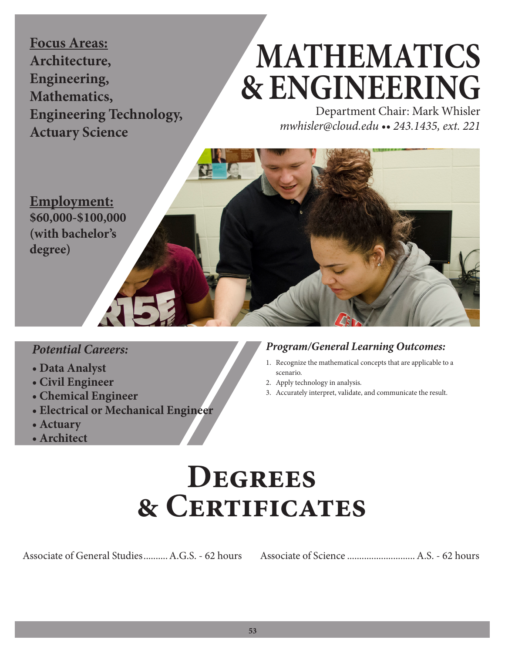**Focus Areas: Architecture, Engineering, Mathematics, Engineering Technology, Actuary Science**

# **MATHEMATICS & ENGINEERING**

Department Chair: Mark Whisler *mwhisler@cloud.edu •• 243.1435, ext. 221*

**Employment: \$60,000-\$100,000 (with bachelor's degree)**

### *Potential Careers:*

- **Data Analyst**
- **Civil Engineer**
- **Chemical Engineer**
- **Electrical or Mechanical Engineer**
- **Actuary**
- **Architect**

### *Program/General Learning Outcomes:*

- 1. Recognize the mathematical concepts that are applicable to a scenario.
- 2. Apply technology in analysis.
- 3. Accurately interpret, validate, and communicate the result.

## **Degrees & Certificates**

Associate of General Studies..........A.G.S. - 62 hours Associate of Science ............................A.S. - 62 hours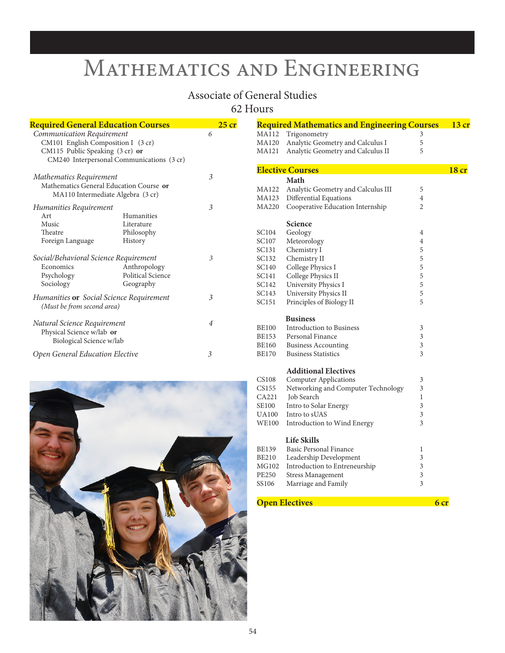### Mathematics and Engineering

### Associate of General Studies

62 Hours

| <b>Required General Education Courses</b>                                                                                                       |                                                   |   | $25$ cr |
|-------------------------------------------------------------------------------------------------------------------------------------------------|---------------------------------------------------|---|---------|
| Communication Requirement<br>CM101 English Composition I (3 cr)<br>CM115 Public Speaking (3 cr) or<br>CM240 Interpersonal Communications (3 cr) |                                                   | 6 |         |
| Mathematics Requirement<br>Mathematics General Education Course or<br>MA110 Intermediate Algebra (3 cr)                                         |                                                   | 3 |         |
| Humanities Requirement<br>Art<br>Music<br>Theatre<br>Foreign Language                                                                           | Humanities<br>Literature<br>Philosophy<br>History | 3 |         |
| Social/Behavioral Science Requirement<br>Economics<br>Psychology<br>Sociology                                                                   | Anthropology<br>Political Science<br>Geography    | 3 |         |
| Humanities or Social Science Requirement<br>(Must be from second area)                                                                          |                                                   | 3 |         |
| Natural Science Requirement<br>Physical Science w/lab or<br>Biological Science w/lab                                                            |                                                   | 4 |         |
| Open General Education Elective                                                                                                                 |                                                   | 3 |         |



|              | <b>Required Mathematics and Engineering Courses</b> |                | 13 cr            |
|--------------|-----------------------------------------------------|----------------|------------------|
| MA112        | Trigonometry                                        | 3              |                  |
| MA120        | Analytic Geometry and Calculus I                    | 5              |                  |
| MA121        | Analytic Geometry and Calculus II                   | 5              |                  |
|              |                                                     |                |                  |
|              | <b>Elective Courses</b>                             |                | 18 <sub>cr</sub> |
|              | Math                                                |                |                  |
| MA122        | Analytic Geometry and Calculus III                  | 5              |                  |
| MA123        | Differential Equations                              | 4              |                  |
| MA220        | Cooperative Education Internship                    | $\overline{2}$ |                  |
|              | Science                                             |                |                  |
| SC104        | Geology                                             | 4              |                  |
| SC107        | Meteorology                                         | 4              |                  |
| <b>SC131</b> | Chemistry I                                         | 5              |                  |
| SC132        | Chemistry II                                        | 5              |                  |
| SC140        | College Physics I                                   | 5              |                  |
| SC141        | College Physics II                                  | 5              |                  |
| SC142        | <b>University Physics I</b>                         | 5              |                  |
| SC143        | University Physics II                               | 5              |                  |
| SC151        | Principles of Biology II                            | 5              |                  |
|              |                                                     |                |                  |
|              | <b>Business</b>                                     |                |                  |
| <b>BE100</b> | <b>Introduction to Business</b>                     | 3              |                  |
| BE153        | Personal Finance                                    | 3              |                  |
| <b>BE160</b> | <b>Business Accounting</b>                          | 3              |                  |
| <b>BE170</b> | <b>Business Statistics</b>                          | 3              |                  |
|              | <b>Additional Electives</b>                         |                |                  |
| <b>CS108</b> | <b>Computer Applications</b>                        | 3              |                  |
| CS155        | Networking and Computer Technology                  | 3              |                  |
| CA221        | Job Search                                          | 1              |                  |
| <b>SE100</b> | Intro to Solar Energy                               | 3              |                  |
| <b>UA100</b> | Intro to sUAS                                       | 3              |                  |
| WE100        | Introduction to Wind Energy                         | 3              |                  |
|              | <b>Life Skills</b>                                  |                |                  |
| <b>BE139</b> | <b>Basic Personal Finance</b>                       | 1              |                  |
| BE210        | Leadership Development                              | 3              |                  |
| MG102        | Introduction to Entreneurship                       | 3              |                  |
| PE250        | <b>Stress Management</b>                            | 3              |                  |
| SS106        | Marriage and Family                                 | 3              |                  |
|              |                                                     |                |                  |
|              | <b>Open Electives</b>                               | 6 cr           |                  |